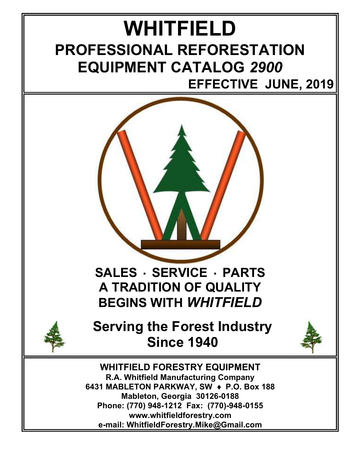## WHITFIELD PROFESSIONAL REFORESTATION EQUIPMENT CATALOG 2900 EFFECTIVE JUNE, 2019





Serving the Forest Industry Since 1940



WHITFIELD FORESTRY EQUIPMENT R.A. Whitfield Manufacturing Company 6431 MABLETON PARKWAY, SW + P.O. Box 188 Mableton, Georgia 30126-0188 Phone: (770) 948-1212 Fax: (770)-948-0155 www.whitfieldforestry.com e-mail: WhitfieldForestry.Mike@Gmail.com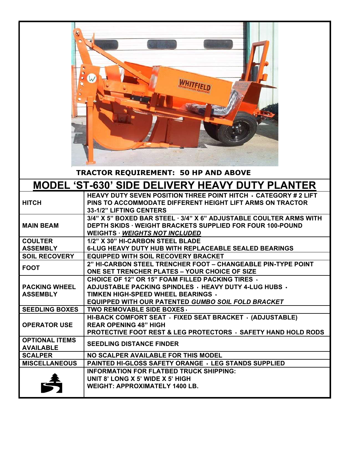| <b>TRACTOR REQUIREMENT: 50 HP AND ABOVE</b>     |                                                                                                                                                                                                                     |
|-------------------------------------------------|---------------------------------------------------------------------------------------------------------------------------------------------------------------------------------------------------------------------|
| MODEL 'ST-630' SIDE DELIVERY HEAVY DUTY PLANTER |                                                                                                                                                                                                                     |
| <b>HITCH</b>                                    | <b>HEAVY DUTY SEVEN POSITION THREE POINT HITCH · CATEGORY # 2 LIFT</b><br>PINS TO ACCOMMODATE DIFFERENT HEIGHT LIFT ARMS ON TRACTOR<br>33-1/2" LIFTING CENTERS                                                      |
| <b>MAIN BEAM</b>                                | 3/4" X 5" BOXED BAR STEEL · 3/4" X 6" ADJUSTABLE COULTER ARMS WITH<br><b>DEPTH SKIDS · WEIGHT BRACKETS SUPPLIED FOR FOUR 100-POUND</b><br><b>WEIGHTS · WEIGHTS NOT INCLUDED</b>                                     |
| <b>COULTER</b><br><b>ASSEMBLY</b>               | 1/2" X 30" HI-CARBON STEEL BLADE<br>6-LUG HEAVY DUTY HUB WITH REPLACEABLE SEALED BEARINGS                                                                                                                           |
| <b>SOIL RECOVERY</b>                            | <b>EQUIPPED WITH SOIL RECOVERY BRACKET</b>                                                                                                                                                                          |
| <b>FOOT</b>                                     | 2" HI-CARBON STEEL TRENCHER FOOT - CHANGEABLE PIN-TYPE POINT<br>ONE SET TRENCHER PLATES - YOUR CHOICE OF SIZE                                                                                                       |
| <b>PACKING WHEEL</b><br><b>ASSEMBLY</b>         | <b>CHOICE OF 12" OR 15" FOAM FILLED PACKING TIRES ·</b><br><b>ADJUSTABLE PACKING SPINDLES · HEAVY DUTY 4-LUG HUBS ·</b><br>TIMKEN HIGH-SPEED WHEEL BEARINGS .<br>EQUIPPED WITH OUR PATENTED GUMBO SOIL FOLD BRACKET |
| <b>SEEDLING BOXES</b>                           | TWO REMOVABLE SIDE BOXES .                                                                                                                                                                                          |
| <b>OPERATOR USE</b>                             | HI-BACK COMFORT SEAT · FIXED SEAT BRACKET · (ADJUSTABLE)<br><b>REAR OPENING 48" HIGH</b><br><b>PROTECTIVE FOOT REST &amp; LEG PROTECTORS · SAFETY HAND HOLD RODS</b>                                                |
| <b>OPTIONAL ITEMS</b><br><b>AVAILABLE</b>       | <b>SEEDLING DISTANCE FINDER</b>                                                                                                                                                                                     |
| <b>SCALPER</b>                                  | NO SCALPER AVAILABLE FOR THIS MODEL                                                                                                                                                                                 |
| <b>MISCELLANEOUS</b>                            | <b>PAINTED HI-GLOSS SAFETY ORANGE · LEG STANDS SUPPLIED</b>                                                                                                                                                         |
| A                                               | <b>INFORMATION FOR FLATBED TRUCK SHIPPING:</b><br>UNIT 8' LONG X 5' WIDE X 5' HIGH<br><b>WEIGHT: APPROXIMATELY 1400 LB.</b>                                                                                         |